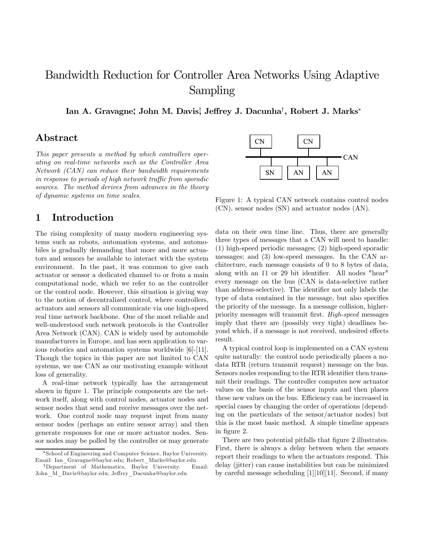# Bandwidth Reduction for Controller Area Networks Using Adaptive Sampling

Ian A. Gravagne\*, John M. Davis¦ Jeffrey J. Dacunha†, Robert J. Marks\*

# Abstract

This paper presents a method by which controllers operating on real-time networks such as the Controller Area Network (CAN) can reduce their bandwidth requirements in response to periods of high network traffic from sporadic sources. The method derives from advances in the theory of dynamic systems on time scales.

### 1 Introduction

The rising complexity of many modern engineering systems such as robots, automation systems, and automobiles is gradually demanding that more and more actuators and sensors be available to interact with the system environment. In the past, it was common to give each actuator or sensor a dedicated channel to or from a main computational node, which we refer to as the controller or the control node. However, this situation is giving way to the notion of decentralized control, where controllers, actuators and sensors all communicate via one high-speed real time network backbone. One of the most reliable and well-understood such network protocols is the Controller Area Network (CAN). CAN is widely used by automobile manufacturers in Europe, and has seen application to various robotics and automation systems worldwide [6]-[11]. Though the topics in this paper are not limited to CAN systems, we use CAN as our motivating example without loss of generality.

A real-time network typically has the arrangement shown in figure 1. The principle components are the network itself, along with control nodes, actuator nodes and sensor nodes that send and receive messages over the network. One control node may request input from many sensor nodes (perhaps an entire sensor array) and then generate responses for one or more actuator nodes. Sensor nodes may be polled by the controller or may generate



Figure 1: A typical CAN network contains control nodes (CN), sensor nodes (SN) and actuator nodes (AN).

data on their own time line. Thus, there are generally three types of messages that a CAN will need to handle: (1) high-speed periodic messages; (2) high-speed sporadic messages; and (3) low-speed messages. In the CAN architecture, each message consists of 0 to 8 bytes of data, along with an 11 or 29 bit identifier. All nodes "hear" every message on the bus (CAN is data-selective rather than address-selective). The identifier not only labels the type of data contained in the message, but also specifies the priority of the message. In a message collision, higherpriority messages will transmit first. High-speed messages imply that there are (possibly very tight) deadlines beyond which, if a message is not received, undesired effects result.

A typical control loop is implemented on a CAN system quite naturally: the control node periodically places a nodata RTR (return transmit request) message on the bus. Sensors nodes responding to the RTR identifier then transmit their readings. The controller computes new actuator values on the basis of the sensor inputs and then places these new values on the bus. Efficiency can be increased in special cases by changing the order of operations (depending on the particulars of the sensor/actuator nodes) but this is the most basic method. A simple timeline appears in figure 2.

There are two potential pitfalls that figure 2 illustrates. First, there is always a delay between when the sensors report their readings to when the actuators respond. This delay (jitter) can cause instabilities but can be minimized by careful message scheduling [1][10][11]. Second, if many

<sup>∗</sup>School of Engineering and Computer Science, Baylor University. Email: Ian\_Gravagne@baylor.edu; Robert\_Marks@baylor.edu

<sup>†</sup>Department of Mathematics, Baylor University. Email: John\_M\_Davis@baylor.edu; Jeffrey\_Dacunha@baylor.edu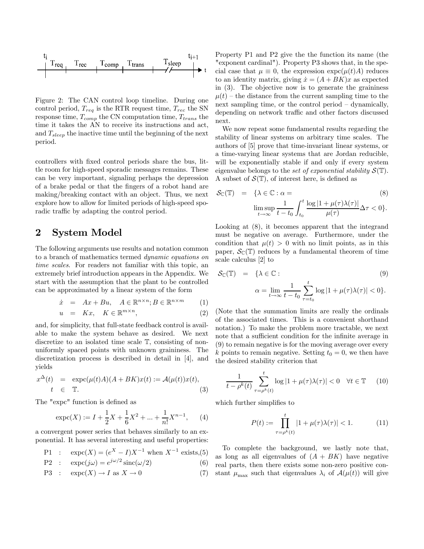

Figure 2: The CAN control loop timeline. During one control period,  $T_{req}$  is the RTR request time,  $T_{rec}$  the SN response time,  $T_{comp}$  the CN computation time,  $T_{trans}$  the time it takes the AN to receive its instructions and act, and  $T_{sleep}$  the inactive time until the beginning of the next period.

controllers with fixed control periods share the bus, little room for high-speed sporadic messages remains. These can be very important, signaling perhaps the depression of a brake pedal or that the fingers of a robot hand are making/breaking contact with an object. Thus, we next explore how to allow for limited periods of high-speed sporadic traffic by adapting the control period.

### 2 System Model

The following arguments use results and notation common to a branch of mathematics termed dynamic equations on time scales. For readers not familiar with this topic, an extremely brief introduction appears in the Appendix. We start with the assumption that the plant to be controlled can be approximated by a linear system of the form

$$
\dot{x} = Ax + Bu, \quad A \in \mathbb{R}^{n \times n}; B \in \mathbb{R}^{n \times m}
$$
 (1)

$$
u = Kx, \quad K \in \mathbb{R}^{m \times n}, \tag{2}
$$

and, for simplicity, that full-state feedback control is available to make the system behave as desired. We next discretize to an isolated time scale T, consisting of nonuniformly spaced points with unknown graininess. The discretization process is described in detail in [4], and yields

$$
x^{\Delta}(t) = \exp(c(\mu(t)A)(A+BK)x(t)) := \mathcal{A}(\mu(t))x(t),
$$
  
\n
$$
t \in \mathbb{T}.
$$
 (3)

The "expc" function is defined as

$$
\exp(x) := I + \frac{1}{2}X + \frac{1}{6}X^2 + \dots + \frac{1}{n!}X^{n-1}, \qquad (4)
$$

a convergent power series that behaves similarly to an exponential. It has several interesting and useful properties:

P1: 
$$
\exp(c(X)) = (e^X - I)X^{-1}
$$
 when  $X^{-1}$  exists,(5)

$$
P2 : \exp(c(j\omega)) = e^{j\omega/2} \operatorname{sinc}(\omega/2) \tag{6}
$$

$$
\text{P3}: \quad \exp\left(X\right) \to I \text{ as } X \to 0 \tag{7}
$$

Property P1 and P2 give the the function its name (the "exponent cardinal"). Property P3 shows that, in the special case that  $\mu \equiv 0$ , the expression  $\exp(c(\mu(t)A))$  reduces to an identity matrix, giving  $\dot{x} = (A + BK)x$  as expected in (3). The objective now is to generate the graininess  $\mu(t)$  – the distance from the current sampling time to the next sampling time, or the control period — dynamically, depending on network traffic and other factors discussed next.

We now repeat some fundamental results regarding the stability of linear systems on arbitrary time scales. The authors of [5] prove that time-invariant linear systems, or a time-varying linear systems that are Jordan reducible, will be exponentially stable if and only if every system eigenvalue belongs to the set of exponential stability  $S(\mathbb{T})$ . A subset of  $\mathcal{S}(\mathbb{T})$ , of interest here, is defined as

$$
\mathcal{S}_{\mathbb{C}}(\mathbb{T}) = \{ \lambda \in \mathbb{C} : \alpha = \lim_{t \to \infty} \frac{1}{t - t_0} \int_{t_0}^t \frac{\log|1 + \mu(\tau)\lambda(\tau)|}{\mu(\tau)} \Delta \tau < 0 \}.
$$
\n(8)

Looking at (8), it becomes apparent that the integrand must be negative on average. Furthermore, under the condition that  $\mu(t) > 0$  with no limit points, as in this paper,  $\mathcal{S}_{\mathbb{C}}(\mathbb{T})$  reduces by a fundamental theorem of time scale calculus [2] to

$$
\mathcal{S}_{\mathbb{C}}(\mathbb{T}) = \{ \lambda \in \mathbb{C} : \tag{9}
$$
\n
$$
\alpha = \lim_{t \to \infty} \frac{1}{t - t_0} \sum_{\tau = t_0}^t \log|1 + \mu(\tau)\lambda(\tau)| < 0 \}.
$$

(Note that the summation limits are really the ordinals of the associated times. This is a convenient shorthand notation.) To make the problem more tractable, we next note that a sufficient condition for the infinite average in (9) to remain negative is for the moving average over every k points to remain negative. Setting  $t_0 = 0$ , we then have the desired stability criterion that

$$
\frac{1}{t - \rho^k(t)} \sum_{\tau = \rho^k(t)}^t \log|1 + \mu(\tau)\lambda(\tau)| < 0 \quad \forall t \in \mathbb{T} \tag{10}
$$

which further simplifies to

$$
P(t) := \prod_{\tau = \rho^k(t)}^t |1 + \mu(\tau)\lambda(\tau)| < 1. \tag{11}
$$

To complete the background, we lastly note that, as long as all eigenvalues of  $(A + BK)$  have negative real parts, then there exists some non-zero positive constant  $\mu_{\text{max}}$  such that eigenvalues  $\lambda_i$  of  $\mathcal{A}(\mu(t))$  will give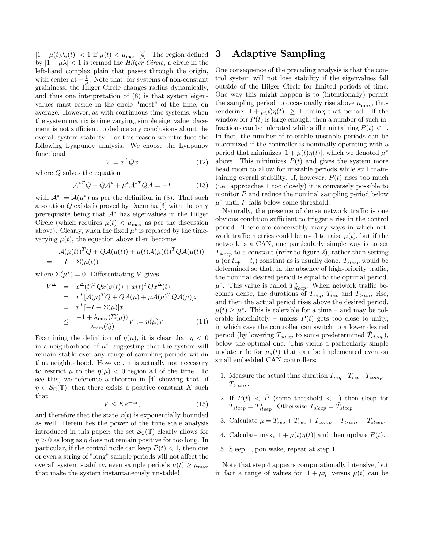$|1 + \mu(t)\lambda_i(t)| < 1$  if  $\mu(t) < \mu_{\text{max}}$  [4]. The region defined by  $|1 + \mu \lambda| < 1$  is termed the *Hilger Circle*, a circle in the left-hand complex plain that passes through the origin, with center at  $-\frac{1}{\mu}$ . Note that, for systems of non-constant graininess, the Hilger Circle changes radius dynamically, and thus one interpretation of (8) is that system eigenvalues must reside in the circle "most" of the time, on average. However, as with continuous-time systems, when the system matrix is time varying, simple eigenvalue placement is not sufficient to deduce any conclusions about the overall system stability. For this reason we introduce the following Lyapunov analysis. We choose the Lyapunov functional

$$
V = x^T Q x \tag{12}
$$

where Q solves the equation

$$
\mathcal{A}^{*T}Q + Q\mathcal{A}^* + \mu^*\mathcal{A}^{*T}Q\mathcal{A} = -I \tag{13}
$$

with  $\mathcal{A}^* := \mathcal{A}(\mu^*)$  as per the definition in (3). That such a solution Q exists is proved by Dacunha [3] with the only prerequisite being that  $A^*$  has eigenvalues in the Hilger Circle (which requires  $\mu(t) < \mu_{\text{max}}$  as per the discussion above). Clearly, when the fixed  $\mu^*$  is replaced by the timevarying  $\mu(t)$ , the equation above then becomes

$$
\mathcal{A}(\mu(t))^T Q + Q\mathcal{A}(\mu(t)) + \mu(t)\mathcal{A}(\mu(t))^T Q\mathcal{A}(\mu(t))
$$
  
= -I + \Sigma(\mu(t))

where  $\Sigma(\mu^*)=0$ . Differentiating V gives

$$
V^{\Delta} = x^{\Delta}(t)^{T} Q x(\sigma(t)) + x(t)^{T} Q x^{\Delta}(t)
$$
  
\n
$$
= x^{T} [A(\mu)^{T} Q + Q \mathcal{A}(\mu) + \mu \mathcal{A}(\mu)^{T} Q \mathcal{A}(\mu)]x
$$
  
\n
$$
= x^{T} [-I + \Sigma(\mu)]x
$$
  
\n
$$
\leq \frac{-1 + \lambda_{\max}(\Sigma(\mu))}{\lambda_{\min}(Q)} V := \eta(\mu) V. \tag{14}
$$

Examining the definition of  $\eta(\mu)$ , it is clear that  $\eta < 0$ in a neighborhood of  $\mu^*$ , suggesting that the system will remain stable over any range of sampling periods within that neighborhood. However, it is actually not necessary to restrict  $\mu$  to the  $\eta(\mu) < 0$  region all of the time. To see this, we reference a theorem in [4] showing that, if  $\eta \in \mathcal{S}_{\mathbb{C}}(\mathbb{T})$ , then there exists a positive constant K such that

$$
V \leq Ke^{-\alpha t},\tag{15}
$$

and therefore that the state  $x(t)$  is exponentially bounded as well. Herein lies the power of the time scale analysis introduced in this paper: the set  $\mathcal{S}_{\mathbb{C}}(\mathbb{T})$  clearly allows for  $\eta > 0$  as long as  $\eta$  does not remain positive for too long. In particular, if the control node can keep  $P(t) < 1$ , then one or even a string of "long" sample periods will not affect the overall system stability, even sample periods  $\mu(t) \geq \mu_{\text{max}}$ that make the system instantaneously unstable!

## 3 Adaptive Sampling

One consequence of the preceding analysis is that the control system will not lose stability if the eigenvalues fall outside of the Hilger Circle for limited periods of time. One way this might happen is to (intentionally) permit the sampling period to occasionally rise above  $\mu_{\text{max}}$ , thus rendering  $|1 + \mu(t)\eta(t)| \geq 1$  during that period. If the window for  $P(t)$  is large enough, then a number of such infractions can be tolerated while still maintaining  $P(t) < 1$ . In fact, the number of tolerable unstable periods can be maximized if the controller is nominally operating with a period that minimizes  $|1 + \mu(t)\eta(t)|$ , which we denoted  $\mu^*$ above. This minimizes  $P(t)$  and gives the system more head room to allow for unstable periods while still maintaining overall stability. If, however,  $P(t)$  rises too much (i.e. approaches 1 too closely) it is conversely possible to monitor  $P$  and reduce the nominal sampling period below  $\mu^*$  until  $P$  falls below some threshold.

Naturally, the presence of dense network traffic is one obvious condition sufficient to trigger a rise in the control period. There are conceivably many ways in which network traffic metrics could be used to raise  $\mu(t)$ , but if the network is a CAN, one particularly simple way is to set  $T_{sleep}$  to a constant (refer to figure 2), rather than setting  $\mu$  (or  $t_{i+1}-t_i$ ) constant as is usually done.  $T_{sleep}$  would be determined so that, in the absence of high-priority traffic, the nominal desired period is equal to the optimal period,  $\mu^*$ . This value is called  $T^*_{sleep}$ . When network traffic becomes dense, the durations of  $T_{req}$ ,  $T_{rec}$  and  $T_{trans}$  rise, and then the actual period rises above the desired period,  $\mu(t) > \mu^*$ . This is tolerable for a time – and may be tolerable indefinitely – unless  $P(t)$  gets too close to unity, in which case the controller can switch to a lower desired period (by lowering  $T_{sleep}$  to some predetermined  $\hat{T}_{sleep}$ ), below the optimal one. This yields a particularly simple update rule for  $\mu_d(t)$  that can be implemented even on small embedded CAN controllers:

- 1. Measure the actual time duration  $T_{req} + T_{rec} + T_{comp} +$  $T_{trans}$ .
- 2. If  $P(t) < \bar{P}$  (some threshold  $< 1$ ) then sleep for  $T_{sleep} = T_{sleep}^*$ . Otherwise  $T_{sleep} = \hat{T}_{sleep}$ .
- 3. Calculate  $\mu = T_{req} + T_{rec} + T_{comp} + T_{trans} + T_{sleep}$ .
- 4. Calculate max<sub>i</sub>  $|1 + \mu(t)\eta(t)|$  and then update  $P(t)$ .
- 5. Sleep. Upon wake, repeat at step 1.

Note that step 4 appears computationally intensive, but in fact a range of values for  $|1 + \mu \eta|$  versus  $\mu(t)$  can be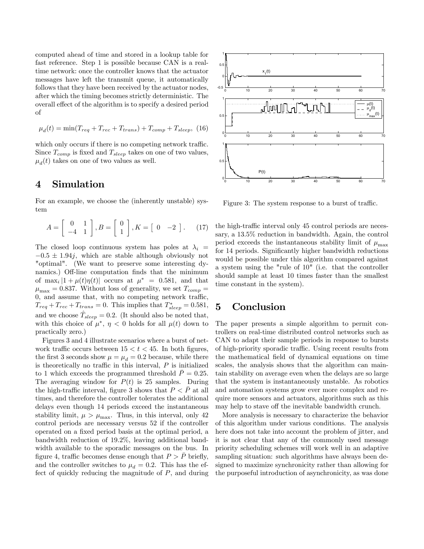computed ahead of time and stored in a lookup table for fast reference. Step 1 is possible because CAN is a realtime network: once the controller knows that the actuator messages have left the transmit queue, it automatically follows that they have been received by the actuator nodes, after which the timing becomes strictly deterministic. The overall effect of the algorithm is to specify a desired period of

$$
\mu_d(t) = \min(T_{req} + T_{rec} + T_{trans}) + T_{comp} + T_{sleep}, \tag{16}
$$

which only occurs if there is no competing network traffic. Since  $T_{comp}$  is fixed and  $T_{sleep}$  takes on one of two values,  $\mu_d(t)$  takes on one of two values as well.

## 4 Simulation

For an example, we choose the (inherently unstable) system

$$
A = \begin{bmatrix} 0 & 1 \\ -4 & 1 \end{bmatrix}, B = \begin{bmatrix} 0 \\ 1 \end{bmatrix}, K = \begin{bmatrix} 0 & -2 \end{bmatrix}. \tag{17}
$$

The closed loop continuous system has poles at  $\lambda_i$  =  $-0.5 \pm 1.94j$ , which are stable although obviously not "optimal". (We want to preserve some interesting dynamics.) Off-line computation finds that the minimum of max<sub>i</sub>  $|1 + \mu(t)\eta(t)|$  occurs at  $\mu^* = 0.581$ , and that  $\mu_{\text{max}} = 0.837$ . Without loss of generality, we set  $T_{comp} =$ 0, and assume that, with no competing network traffic,  $T_{req} + T_{rec} + T_{trans} = 0$ . This implies that  $T_{sleep}^{*} = 0.581$ , and we choose  $\hat{T}_{sleep} = 0.2$ . (It should also be noted that, with this choice of  $\mu^*, \eta < 0$  holds for all  $\mu(t)$  down to practically zero.)

Figures 3 and 4 illustrate scenarios where a burst of network traffic occurs between  $15 < t < 45$ . In both figures, the first 3 seconds show  $\mu = \mu_d = 0.2$  because, while there is theoretically no traffic in this interval,  $P$  is initialized to 1 which exceeds the programmed threshold  $\bar{P} = 0.25$ . The averaging window for  $P(t)$  is 25 samples. During the high-traffic interval, figure 3 shows that  $P < P$  at all times, and therefore the controller tolerates the additional delays even though 14 periods exceed the instantaneous stability limit,  $\mu > \mu_{\text{max}}$ . Thus, in this interval, only 42 control periods are necessary versus 52 if the controller operated on a fixed period basis at the optimal period, a bandwidth reduction of 19.2%, leaving additional bandwidth available to the sporadic messages on the bus. In figure 4, traffic becomes dense enough that  $P > \overline{P}$  briefly, and the controller switches to  $\mu_d = 0.2$ . This has the effect of quickly reducing the magnitude of P, and during



Figure 3: The system response to a burst of traffic.

the high-traffic interval only 45 control periods are necessary, a 13.5% reduction in bandwidth. Again, the control period exceeds the instantaneous stability limit of  $\mu_{\text{max}}$ for 14 periods. Significantly higher bandwidth reductions would be possible under this algorithm compared against a system using the "rule of 10" (i.e. that the controller should sample at least 10 times faster than the smallest time constant in the system).

#### 5 Conclusion

The paper presents a simple algorithm to permit controllers on real-time distributed control networks such as CAN to adapt their sample periods in response to bursts of high-priority sporadic traffic. Using recent results from the mathematical field of dynamical equations on time scales, the analysis shows that the algorithm can maintain stability on average even when the delays are so large that the system is instantaneously unstable. As robotics and automation systems grow ever more complex and require more sensors and actuators, algorithms such as this may help to stave off the inevitable bandwidth crunch.

More analysis is necessary to characterize the behavior of this algorithm under various conditions. The analysis here does not take into account the problem of jitter, and it is not clear that any of the commonly used message priority scheduling schemes will work well in an adaptive sampling situation: such algorithms have always been designed to maximize synchronicity rather than allowing for the purposeful introduction of asynchronicity, as was done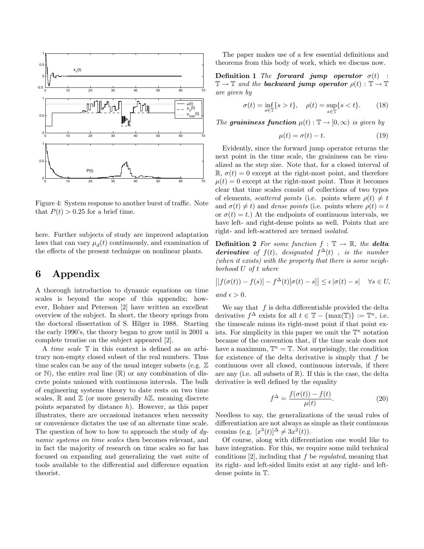

Figure 4: System response to another burst of traffic. Note that  $P(t) > 0.25$  for a brief time.

here. Further subjects of study are improved adaptation laws that can vary  $\mu_d(t)$  continuously, and examination of the effects of the present technique on nonlinear plants.

## 6 Appendix

A thorough introduction to dynamic equations on time scales is beyond the scope of this appendix; however, Bohner and Peterson [2] have written an excellent overview of the subject. In short, the theory springs from the doctoral dissertation of S. Hilger in 1988. Starting the early 1990's, the theory began to grow until in 2001 a complete treatise on the subject appeared [2].

A time scale T in this context is defined as an arbitrary non-empty closed subset of the real numbers. Thus time scales can be any of the usual integer subsets (e.g.  $\mathbb{Z}$ ) or  $\mathbb N$ , the entire real line  $(\mathbb R)$  or any combination of discrete points unioned with continuous intervals. The bulk of engineering systems theory to date rests on two time scales,  $\mathbb R$  and  $\mathbb Z$  (or more generally  $h\mathbb Z$ , meaning discrete points separated by distance  $h$ ). However, as this paper illustrates, there are occasional instances when necessity or convenience dictates the use of an alternate time scale. The question of how to how to approach the study of  $dy$ namic systems on time scales then becomes relevant, and in fact the majority of research on time scales so far has focused on expanding and generalizing the vast suite of tools available to the differential and difference equation theorist.

The paper makes use of a few essential definitions and theorems from this body of work, which we discuss now.

Definition 1 The forward jump operator  $\sigma(t)$  :  $\mathbb{T} \to \mathbb{T}$  and the **backward jump operator**  $\rho(t) : \mathbb{T} \to \mathbb{T}$ are given by

$$
\sigma(t) = \inf_{s \in \mathbb{T}} \{ s > t \}, \quad \rho(t) = \sup_{s \in \mathbb{T}} \{ s < t \}. \tag{18}
$$

The graininess function  $\mu(t) : \mathbb{T} \to [0,\infty)$  is given by

$$
\mu(t) = \sigma(t) - t. \tag{19}
$$

Evidently, since the forward jump operator returns the next point in the time scale, the graininess can be visualized as the step size. Note that, for a closed interval of R,  $\sigma(t)=0$  except at the right-most point, and therefore  $\mu(t)=0$  except at the right-most point. Thus it becomes clear that time scales consist of collections of two types of elements, scattered points (i.e. points where  $\rho(t) \neq t$ and  $\sigma(t) \neq t$ ) and *dense points* (i.e. points where  $\rho(t) = t$ or  $\sigma(t) = t$ .) At the endpoints of continuous intervals, we have left- and right-dense points as well. Points that are right- and left-scattered are termed isolated.

**Definition 2** For some function  $f : \mathbb{T} \to \mathbb{R}$ , the delta derivative of  $f(t)$ , designated  $f^{\Delta}(t)$ , is the number (when it exists) with the property that there is some neighborhood U of t where

$$
\left| [f(\sigma(t)) - f(s)] - f^{\Delta}(t) [\sigma(t) - s] \right| \le \epsilon |\sigma(t) - s| \quad \forall s \in U,
$$
  
and  $\epsilon > 0$ .

We say that  $f$  is delta differentiable provided the delta derivative  $f^{\Delta}$  exists for all  $t \in \mathbb{T} - \{\max(\mathbb{T})\} := \mathbb{T}^{\kappa}$ , i.e. the timescale minus its right-most point if that point exists. For simplicity in this paper we omit the  $\mathbb{T}^{\kappa}$  notation because of the convention that, if the time scale does not have a maximum,  $\mathbb{T}^{\kappa} = \mathbb{T}$ . Not surprisingly, the condition for existence of the delta derivative is simply that  $f$  be continuous over all closed, continuous intervals, if there are any (i.e. all subsets of  $\mathbb{R}$ ). If this is the case, the delta derivative is well defined by the equality

$$
f^{\Delta} = \frac{f(\sigma(t)) - f(t)}{\mu(t)}.
$$
\n(20)

Needless to say, the generalizations of the usual rules of differentiation are not always as simple as their continuous cousins (e.g.  $[x^3(t)]^{\Delta} \neq 3x^2(t)$ ).

Of course, along with differentiation one would like to have integration. For this, we require some mild technical conditions  $[2]$ , including that f be *regulated*, meaning that its right- and left-sided limits exist at any right- and leftdense points in T.